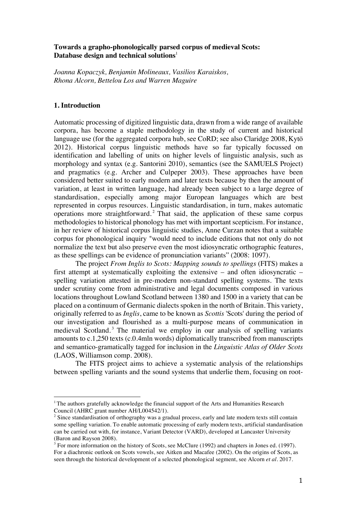## **Towards a grapho-phonologically parsed corpus of medieval Scots: Database design and technical solutions**<sup>1</sup>

*Joanna Kopaczyk, Benjamin Molineaux, Vasilios Karaiskos, Rhona Alcorn, Bettelou Los and Warren Maguire*

### **1. Introduction**

Automatic processing of digitized linguistic data, drawn from a wide range of available corpora, has become a staple methodology in the study of current and historical language use (for the aggregated corpora hub, see CoRD; see also Claridge 2008, Kytö 2012). Historical corpus linguistic methods have so far typically focussed on identification and labelling of units on higher levels of linguistic analysis, such as morphology and syntax (e.g. Santorini 2010), semantics (see the SAMUELS Project) and pragmatics (e.g. Archer and Culpeper 2003). These approaches have been considered better suited to early modern and later texts because by then the amount of variation, at least in written language, had already been subject to a large degree of standardisation, especially among major European languages which are best represented in corpus resources. Linguistic standardisation, in turn, makes automatic operations more straightforward. <sup>2</sup> That said, the application of these same corpus methodologies to historical phonology has met with important scepticism. For instance, in her review of historical corpus linguistic studies, Anne Curzan notes that a suitable corpus for phonological inquiry "would need to include editions that not only do not normalize the text but also preserve even the most idiosyncratic orthographic features, as these spellings can be evidence of pronunciation variants" (2008: 1097).

The project *From Inglis to Scots: Mapping sounds to spellings* (FITS) makes a first attempt at systematically exploiting the extensive – and often idiosyncratic – spelling variation attested in pre-modern non-standard spelling systems. The texts under scrutiny come from administrative and legal documents composed in various locations throughout Lowland Scotland between 1380 and 1500 in a variety that can be placed on a continuum of Germanic dialects spoken in the north of Britain. This variety, originally referred to as *Inglis*, came to be known as *Scottis* 'Scots' during the period of our investigation and flourished as a multi-purpose means of communication in medieval Scotland.<sup>3</sup> The material we employ in our analysis of spelling variants amounts to c.1,250 texts (c.0.4mln words) diplomatically transcribed from manuscripts and semantico-gramatically tagged for inclusion in the *Linguistic Atlas of Older Scots* (LAOS, Williamson comp. 2008).

The FITS project aims to achieve a systematic analysis of the relationships between spelling variants and the sound systems that underlie them, focusing on root-

<sup>&</sup>lt;sup>1</sup> The authors gratefully acknowledge the financial support of the Arts and Humanities Research Council (AHRC grant number AH/L004542/1).

<sup>&</sup>lt;sup>2</sup> Since standardisation of orthography was a gradual process, early and late modern texts still contain some spelling variation. To enable automatic processing of early modern texts, artificial standardisation can be carried out with, for instance, Variant Detector (VARD), developed at Lancaster University (Baron and Rayson 2008).

<sup>&</sup>lt;sup>3</sup> For more information on the history of Scots, see McClure (1992) and chapters in Jones ed. (1997). For a diachronic outlook on Scots vowels, see Aitken and Macafee (2002). On the origins of Scots, as seen through the historical development of a selected phonological segment, see Alcorn *et al*. 2017.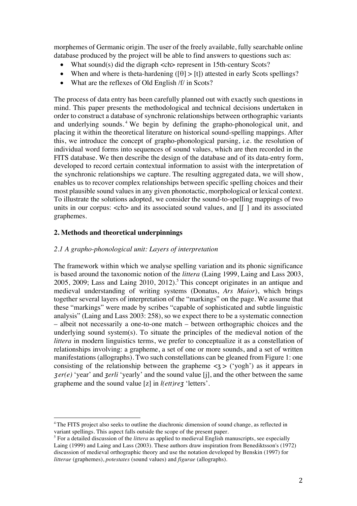morphemes of Germanic origin. The user of the freely available, fully searchable online database produced by the project will be able to find answers to questions such as:

- What sound(s) did the digraph <ch > represent in 15th-century Scots?
- When and where is theta-hardening  $([\theta] > [t])$  attested in early Scots spellings?
- What are the reflexes of Old English /f/ in Scots?

The process of data entry has been carefully planned out with exactly such questions in mind. This paper presents the methodological and technical decisions undertaken in order to construct a database of synchronic relationships between orthographic variants and underlying sounds. <sup>4</sup> We begin by defining the grapho-phonological unit, and placing it within the theoretical literature on historical sound-spelling mappings. After this, we introduce the concept of grapho-phonological parsing, i.e. the resolution of individual word forms into sequences of sound values, which are then recorded in the FITS database. We then describe the design of the database and of its data-entry form, developed to record certain contextual information to assist with the interpretation of the synchronic relationships we capture. The resulting aggregated data, we will show, enables us to recover complex relationships between specific spelling choices and their most plausible sound values in any given phonotactic, morphological or lexical context. To illustrate the solutions adopted, we consider the sound-to-spelling mappings of two units in our corpus:  $\langle$ ch $>$  and its associated sound values, and  $\lceil \int$  and its associated graphemes.

# **2. Methods and theoretical underpinnings**

 

## *2.1 A grapho-phonological unit: Layers of interpretation*

The framework within which we analyse spelling variation and its phonic significance is based around the taxonomic notion of the *littera* (Laing 1999, Laing and Lass 2003, 2005, 2009; Lass and Laing 2010, 2012). <sup>5</sup> This concept originates in an antique and medieval understanding of writing systems (Donatus, *Ars Maior*), which brings together several layers of interpretation of the "markings" on the page. We assume that these "markings" were made by scribes "capable of sophisticated and subtle linguistic analysis" (Laing and Lass 2003: 258), so we expect there to be a systematic connection – albeit not necessarily a one-to-one match – between orthographic choices and the underlying sound system(s). To situate the principles of the medieval notion of the *littera* in modern linguistics terms, we prefer to conceptualize it as a constellation of relationships involving: a grapheme, a set of one or more sounds, and a set of written manifestations (allographs). Two such constellations can be gleaned from Figure 1: one consisting of the relationship between the grapheme  $\langle z \rangle$  ('yogh') as it appears in <sup>ʒ</sup> *er(e)* 'year' and *ʒerli* 'yearly' and the sound value [j], and the other between the same grapheme and the sound value [z] in *l(ett)reʒ* 'letters'.

<sup>&</sup>lt;sup>4</sup>The FITS project also seeks to outline the diachronic dimension of sound change, as reflected in variant spellings. This aspect falls outside the scope of the present paper.

<sup>&</sup>lt;sup>5</sup> For a detailed discussion of the *littera* as applied to medieval English manuscripts, see especially Laing (1999) and Laing and Lass (2003). These authors draw inspiration from Benediktsson's (1972) discussion of medieval orthographic theory and use the notation developed by Benskin (1997) for *litterae* (graphemes), *potestates* (sound values) and *figurae* (allographs).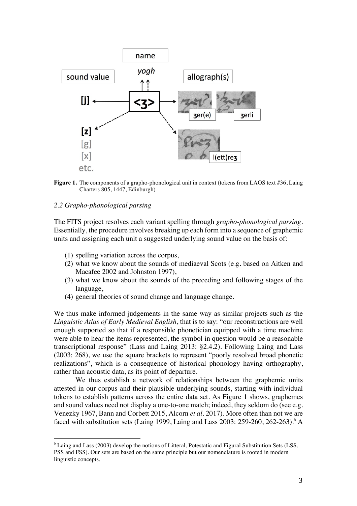



### *2.2 Grapho-phonological parsing*

 

The FITS project resolves each variant spelling through *grapho-phonological parsing*. Essentially, the procedure involves breaking up each form into a sequence of graphemic units and assigning each unit a suggested underlying sound value on the basis of:

- (1) spelling variation across the corpus,
- (2) what we know about the sounds of mediaeval Scots (e.g. based on Aitken and Macafee 2002 and Johnston 1997),
- (3) what we know about the sounds of the preceding and following stages of the language,
- (4) general theories of sound change and language change.

We thus make informed judgements in the same way as similar projects such as the *Linguistic Atlas of Early Medieval English*, that is to say: "our reconstructions are well enough supported so that if a responsible phonetician equipped with a time machine were able to hear the items represented, the symbol in question would be a reasonable transcriptional response" (Lass and Laing 2013: §2.4.2). Following Laing and Lass (2003: 268), we use the square brackets to represent "poorly resolved broad phonetic realizations", which is a consequence of historical phonology having orthography, rather than acoustic data, as its point of departure.

We thus establish a network of relationships between the graphemic units attested in our corpus and their plausible underlying sounds, starting with individual tokens to establish patterns across the entire data set. As Figure 1 shows, graphemes and sound values need not display a one-to-one match; indeed, they seldom do (see e.g. Venezky 1967, Bann and Corbett 2015, Alcorn *et al*. 2017). More often than not we are faced with substitution sets (Laing 1999, Laing and Lass 2003: 259-260, 262-263).<sup>6</sup> A

<sup>6</sup> Laing and Lass (2003) develop the notions of Litteral, Potestatic and Figural Substitution Sets (LSS, PSS and FSS). Our sets are based on the same principle but our nomenclature is rooted in modern linguistic concepts.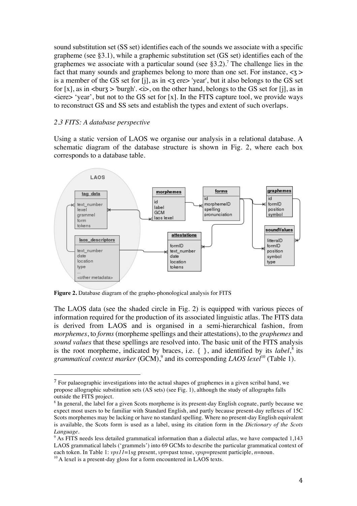sound substitution set (SS set) identifies each of the sounds we associate with a specific grapheme (see §3.1), while a graphemic substitution set (GS set) identifies each of the graphemes we associate with a particular sound (see  $\S 3.2$ ).<sup>7</sup> The challenge lies in the fact that many sounds and graphemes belong to more than one set. For instance,  $\langle 3 \rangle$ is a member of the GS set for  $[i]$ , as in  $\leq$  ere $>$  'year', but it also belongs to the GS set for  $[x]$ , as in  $\langle \text{burg } \rangle$  'burgh'.  $\langle \text{div } \rangle$ , on the other hand, belongs to the GS set for  $[i]$ , as in  $\epsilon$ iere 'year', but not to the GS set for [x]. In the FITS capture tool, we provide ways to reconstruct GS and SS sets and establish the types and extent of such overlaps.

# *2.3 FITS: A database perspective*

 

Using a static version of LAOS we organise our analysis in a relational database. A schematic diagram of the database structure is shown in Fig. 2, where each box corresponds to a database table.



**Figure 2.** Database diagram of the grapho-phonological analysis for FITS

The LAOS data (see the shaded circle in Fig. 2) is equipped with various pieces of information required for the production of its associated linguistic atlas. The FITS data is derived from LAOS and is organised in a semi-hierarchical fashion, from *morphemes*, to *forms* (morpheme spellings and their attestations), to the *graphemes* and *sound values* that these spellings are resolved into. The basic unit of the FITS analysis is the root morpheme, indicated by braces, i.e.  $\{ \}$ , and identified by its *label*,<sup>8</sup> its *grammatical context marker* (GCM), <sup>9</sup> and its corresponding *LAOS lexel*<sup>10</sup> (Table 1).

<sup>7</sup> For palaeographic investigations into the actual shapes of graphemes in a given scribal hand, we propose allographic substitution sets (AS sets) (see Fig. 1), although the study of allographs falls outside the FITS project.

<sup>8</sup> In general, the label for a given Scots morpheme is its present-day English cognate, partly because we expect most users to be familiar with Standard English, and partly because present-day reflexes of 15C Scots morphemes may be lacking or have no standard spelling. Where no present-day English equivalent is available, the Scots form is used as a label, using its citation form in the *Dictionary of the Scots Language*.

<sup>&</sup>lt;sup>9</sup> As FITS needs less detailed grammatical information than a dialectal atlas, we have compacted 1,143 LAOS grammatical labels ('grammels') into 69 GCMs to describe the particular grammatical context of each token. In Table 1: *vps11*=1sg present, *vpt*=past tense, *vpsp*=present participle, *n*=noun.

 $10$  A lexel is a present-day gloss for a form encountered in LAOS texts.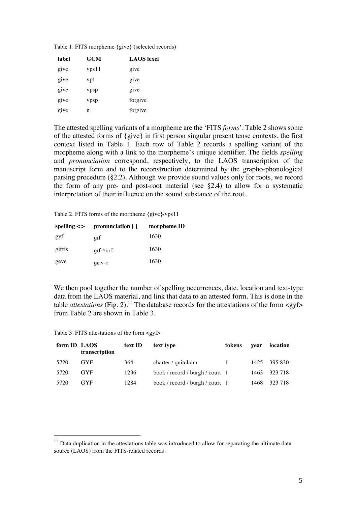| <b>GCM</b><br>label |       | <b>LAOS</b> lexel |  |  |
|---------------------|-------|-------------------|--|--|
| give                | vps11 | give              |  |  |
| give                | vpt   | give              |  |  |
| give                | vpsp  | give              |  |  |
| give                | vpsp  | forgive           |  |  |
| give                | n     | forgive           |  |  |

Table 1. FITS morpheme {give} (selected records)

The attested spelling variants of a morpheme are the 'FITS *forms*'. Table 2 shows some of the attested forms of {give} in first person singular present tense contexts, the first context listed in Table 1. Each row of Table 2 records a spelling variant of the morpheme along with a link to the morpheme's unique identifier. The fields *spelling* and *pronunciation* correspond, respectively, to the LAOS transcription of the manuscript form and to the reconstruction determined by the grapho-phonological parsing procedure (§2.2). Although we provide sound values only for roots, we record the form of any pre- and post-root material (see §2.4) to allow for a systematic interpretation of their influence on the sound substance of the root.

Table 2. FITS forms of the morpheme {give}/vps11

|        | spelling $\langle \rangle$ pronunciation [] | morpheme ID |  |  |
|--------|---------------------------------------------|-------------|--|--|
| gyf    | qıf                                         | 1630        |  |  |
| giffis | $\pi f$ -#infl                              | 1630        |  |  |
| geve   | $q$ e: $v$ - $e$                            | 1630        |  |  |

We then pool together the number of spelling occurrences, date, location and text-type data from the LAOS material, and link that data to an attested form. This is done in the table *attestations* (Fig. 2).<sup>11</sup> The database records for the attestations of the form <gyf> from Table 2 are shown in Table 3.

Table 3. FITS attestations of the form <gyf>

| form ID LAOS | transcription | text ID | text type                       | tokens | vear | location     |
|--------------|---------------|---------|---------------------------------|--------|------|--------------|
| 5720         | <b>GYF</b>    | 364     | charter / quitclaim             | $\Box$ |      | 1425 395 830 |
| 5720         | <b>GYF</b>    | 1236    | book / record / burgh / court 1 |        |      | 1463 323 718 |
| 5720         | <b>GYF</b>    | 1284    | book / record / burgh / court 1 |        | 1468 | 323 718      |

 $11$  Data duplication in the attestations table was introduced to allow for separating the ultimate data source (LAOS) from the FITS-related records.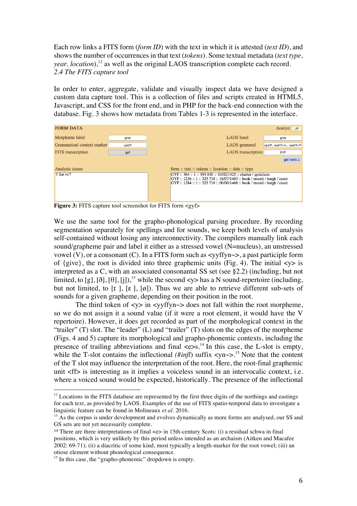Each row links a FITS form (*form ID*) with the text in which it is attested (*text ID*), and shows the number of occurrences in that text (*tokens*). Some textual metadata (*text type, year, location*), <sup>12</sup> as well as the original LAOS transcription complete each record. *2.4 The FITS capture tool*

In order to enter, aggregate, validate and visually inspect data we have designed a custom data capture tool. This is a collection of files and scripts created in HTML5, Javascript, and CSS for the front end, and in PHP for the back-end connection with the database. Fig. 3 shows how metadata from Tables 1-3 is represented in the interface.

| <b>FORM DATA</b>           |       |                                                                                                                                                                                                                  |                           | Analyst<br>JK F                             |
|----------------------------|-------|------------------------------------------------------------------------------------------------------------------------------------------------------------------------------------------------------------------|---------------------------|---------------------------------------------|
| Morpheme label             | give  |                                                                                                                                                                                                                  | <b>LAOS</b> lexel         | give                                        |
| Grammatical context marker | vps11 |                                                                                                                                                                                                                  | LAOS grammel              | vps11, vps11 <n-, td="" vps11<p-<=""></n-,> |
| <b>FITS</b> transcription  | gyf   |                                                                                                                                                                                                                  | <b>LAOS</b> transcription | <b>GYF</b>                                  |
|                            |       |                                                                                                                                                                                                                  |                           | get texts                                   |
| Analysis issues            |       | form :: text :: tokens :: location :: date :: type                                                                                                                                                               |                           |                                             |
| $\mathbf{r}$ for /v/?      |       | GYF :: 364 :: 1 :: 395 830 :: 10/02/1425 :: charter / quitclaim<br>GYF:: 1236:: 1:: 323 718:: 16/07/1463: book / record / burgh / court<br>GYF:: 1284:: 1:: 323 718:: 00/00/1468:: book / record / burgh / court |                           |                                             |

**Figure 3:** FITS capture tool screenshot for FITS form <gyf>

We use the same tool for the grapho-phonological parsing procedure. By recording segmentation separately for spellings and for sounds, we keep both levels of analysis self-contained without losing any interconnectivity. The compilers manually link each sound/grapheme pair and label it either as a stressed vowel (N=nucleus), an unstressed vowel  $(V)$ , or a consonant  $(C)$ . In a FITS form such as  $\langle V \rangle$  =  $\langle V \rangle$ , a past participle form of  $\{give\}$ , the root is divided into three graphemic units (Fig. 4). The initial  $\langle y \rangle$  is interpreted as a C, with an associated consonantal SS set (see §2.2) (including, but not limited, to [g], [ $\delta$ ], [ $\theta$ ], [j]),<sup>13</sup> while the second <y> has a N sound-repertoire (including, but not limited, to  $\lbrack \mathbf{r} \rbrack$ ,  $\lbrack \varepsilon \rbrack$ ,  $\lbrack \varphi \rbrack$ ). Thus we are able to retrieve different sub-sets of sounds for a given grapheme, depending on their position in the root.

The third token of  $\langle v \rangle$  in  $\langle v \rangle$  and  $\langle v \rangle$  does not fall within the root morpheme, so we do not assign it a sound value (if it were a root element, it would have the V repertoire). However, it does get recorded as part of the morphological context in the "trailer" (T) slot. The "leader" (L) and "trailer" (T) slots on the edges of the morpheme (Figs. 4 and 5) capture its morphological and grapho-phonemic contexts, including the presence of trailing abbreviations and final  $\langle e \rangle$ s.<sup>14</sup> In this case, the L-slot is empty, while the T-slot contains the inflectional  $(\# \text{infl})$  suffix  $\langle y \rangle$  =  $\frac{15}{15}$  Note that the content of the T slot may influence the interpretation of the root. Here, the root-final graphemic unit <ff> is interesting as it implies a voiceless sound in an intervocalic context, i.e. where a voiced sound would be expected, historically. The presence of the inflectional

 $12$  Locations in the FITS database are represented by the first three digits of the northings and eastings for each text, as provided by LAOS. Examples of the use of FITS spatio-temporal data to investigate a linguistic feature can be found in Molineaux *et al.* 2016.

<sup>&</sup>lt;sup>13</sup> As the corpus is under development and evolves dynamically as more forms are analysed, our SS and GS sets are not yet necessarily complete.

<sup>&</sup>lt;sup>14</sup> There are three interpretations of final  $\ll$  in 15th-century Scots: (i) a residual schwa in final positions, which is very unlikely by this period unless intended as an archaism (Aitken and Macafee 2002: 69-71); (ii) a diacritic of some kind, most typically a length-marker for the root vowel; (iii) an otiose element without phonological consequence.

<sup>&</sup>lt;sup>15</sup> In this case, the "grapho-phonemic" dropdown is empty.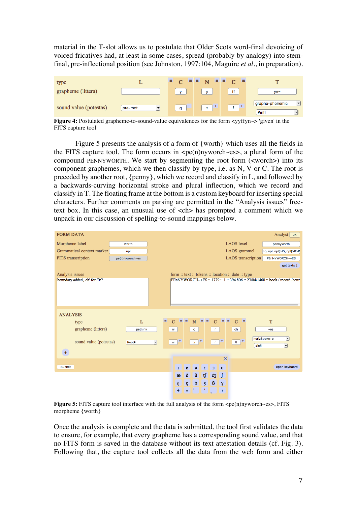material in the T-slot allows us to postulate that Older Scots word-final devoicing of voiced fricatives had, at least in some cases, spread (probably by analogy) into stemfinal, pre-inflectional position (see Johnston, 1997:104, Maguire *et al*., in preparation).



**Figure 4:** Postulated grapheme-to-sound-value equivalences for the form <yyffyn  $\sim$  'given' in the FITS capture tool

Figure 5 presents the analysis of a form of {worth} which uses all the fields in the FITS capture tool. The form occurs in  $\langle pe(n)$ nyworch $\langle es \rangle$ , a plural form of the compound PENNYWORTH. We start by segmenting the root form (<worch>) into its component graphemes, which we then classify by type, i.e. as N, V or C. The root is preceded by another root, {penny}, which we record and classify in L, and followed by a backwards-curving horizontal stroke and plural inflection, which we record and classify in T. The floating frame at the bottom is a custom keyboard for inserting special characters. Further comments on parsing are permitted in the "Analysis issues" freetext box. In this case, an unusual use of <ch> has prompted a comment which we unpack in our discussion of spelling-to-sound mappings below.

| <b>FORM DATA</b>              |                 |                                       |                                                    | Analyst JK                                                             |
|-------------------------------|-----------------|---------------------------------------|----------------------------------------------------|------------------------------------------------------------------------|
| Morpheme label                | worth           |                                       | <b>LAOS</b> lexel                                  | pennyworth                                                             |
| Grammatical context marker    | npl             |                                       | LAOS grammel                                       | np, npl, npl(>R), npl(>R>R                                             |
| FITS transcription            | pe(n)nyworch~es |                                       | <b>LAOS</b> transcription                          | PEnNYWORCH~+ES                                                         |
|                               |                 |                                       |                                                    | get texts $\downarrow$                                                 |
| Analysis issues               |                 |                                       | form :: text :: tokens :: location :: date :: type |                                                                        |
| boundary added, 'ch' for /0/? |                 |                                       |                                                    | PENYWORCH~+ES: : 1779:: 1:: 394 806:: 23/04/1460:: book / record /cour |
|                               |                 |                                       |                                                    |                                                                        |
|                               |                 |                                       |                                                    |                                                                        |
|                               |                 |                                       |                                                    |                                                                        |
| <b>ANALYSIS</b>               |                 |                                       |                                                    |                                                                        |
| type                          | L               | $\equiv$<br><b>EE</b><br>N<br>$=$ $=$ | $=$ $=$<br>$=$<br>$\mathbf{C}$<br>$\mathbf{C}$     | T                                                                      |
| grapheme (littera)            | pe(n)ny         | $\mathbf{o}$<br>w                     | ch<br>T.                                           | $-es$                                                                  |
|                               |                 |                                       |                                                    |                                                                        |
| sound value (potestas)        | Root#           | $+$<br>$\frac{1}{2}$<br>ᅱ<br>w        | $+$<br>$\vert +$<br>$\theta$<br>$\mathbf{r}$ .     | horizStroke+e<br>▼<br>#infl<br>ᅱ                                       |
| $^{+}$                        |                 |                                       |                                                    |                                                                        |
|                               |                 |                                       | $\times$                                           |                                                                        |
| Submit                        |                 | ε<br>I<br>ø<br>$\Theta$               | a<br>C.                                            | open keyboard                                                          |
|                               |                 | $\theta$<br>ð<br>$\mathfrak{g}$<br>æ  | dz<br>$\overline{f}$                               |                                                                        |
|                               |                 | þ<br>$\overline{3}$                   | ß                                                  |                                                                        |
|                               |                 | ę<br>$\eta$<br>ተ                      | $\mathbf{Y}$                                       |                                                                        |
|                               |                 | ±.                                    | x                                                  |                                                                        |

**Figure 5:** FITS capture tool interface with the full analysis of the form  $\langle pe(n)nyword \rangle$ es = FITS morpheme {worth}

Once the analysis is complete and the data is submitted, the tool first validates the data to ensure, for example, that every grapheme has a corresponding sound value, and that no FITS form is saved in the database without its text attestation details (cf. Fig. 3). Following that, the capture tool collects all the data from the web form and either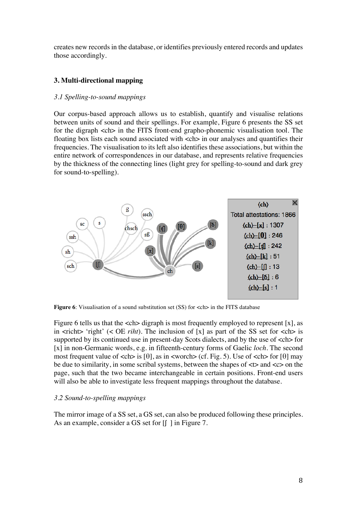creates new records in the database, or identifies previously entered records and updates those accordingly.

# **3. Multi-directional mapping**

# *3.1 Spelling-to-sound mappings*

Our corpus-based approach allows us to establish, quantify and visualise relations between units of sound and their spellings. For example, Figure 6 presents the SS set for the digraph <ch> in the FITS front-end grapho-phonemic visualisation tool. The floating box lists each sound associated with  $\langle$ ch in our analyses and quantifies their frequencies. The visualisation to its left also identifies these associations, but within the entire network of correspondences in our database, and represents relative frequencies by the thickness of the connecting lines (light grey for spelling-to-sound and dark grey for sound-to-spelling).



**Figure 6**: Visualisation of a sound substitution set (SS) for  $\langle$ ch in the FITS database

Figure 6 tells us that the  $\langle$ ch $\rangle$  digraph is most frequently employed to represent [x], as in  $\langle$ richt $\rangle$  'right' ( $\langle$  OE *riht*). The inclusion of [x] as part of the SS set for  $\langle$ ch $\rangle$  is supported by its continued use in present-day Scots dialects, and by the use of  $\langle$ ch > for [x] in non-Germanic words, e.g. in fifteenth-century forms of Gaelic *loch*. The second most frequent value of  $\langle$ ch $\rangle$  is [ $\theta$ ], as in  $\langle$ worch $\rangle$  (cf. Fig. 5). Use of  $\langle$ ch $\rangle$  for [ $\theta$ ] may be due to similarity, in some scribal systems, between the shapes of  $\lt$  and  $\lt$  and  $\lt$ page, such that the two became interchangeable in certain positions. Front-end users will also be able to investigate less frequent mappings throughout the database.

## *3.2 Sound-to-spelling mappings*

The mirror image of a SS set, a GS set, can also be produced following these principles. As an example, consider a GS set for  $\lfloor \int \rfloor$  in Figure 7.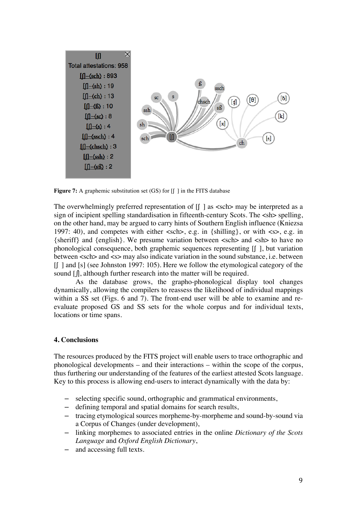

**Figure 7:** A graphemic substitution set (GS) for  $\left[\int \cdot \right]$  in the FITS database

The overwhelmingly preferred representation of  $\left[\right]$  as  $\langle$ sch $\rangle$  may be interpreted as a sign of incipient spelling standardisation in fifteenth-century Scots. The <sh> spelling, on the other hand, may be argued to carry hints of Southern English influence (Kniezsa 1997: 40), and competes with either  $\langle$ sch $\rangle$ , e.g. in  $\{\text{shilling}\}$ , or with  $\langle$ s $\rangle$ , e.g. in {sheriff} and {english}. We presume variation between <sch> and <sh> to have no phonological consequence, both graphemic sequences representing [ʃ ], but variation between <sch> and <s> may also indicate variation in the sound substance, i.e. between [ʃ ] and [s] (see Johnston 1997: 105). Here we follow the etymological category of the sound [∫], although further research into the matter will be required.

As the database grows, the grapho-phonological display tool changes dynamically, allowing the compilers to reassess the likelihood of individual mappings within a SS set (Figs. 6 and 7). The front-end user will be able to examine and reevaluate proposed GS and SS sets for the whole corpus and for individual texts, locations or time spans.

## **4. Conclusions**

The resources produced by the FITS project will enable users to trace orthographic and phonological developments – and their interactions – within the scope of the corpus, thus furthering our understanding of the features of the earliest attested Scots language. Key to this process is allowing end-users to interact dynamically with the data by:

- selecting specific sound, orthographic and grammatical environments,
- defining temporal and spatial domains for search results,
- tracing etymological sources morpheme-by-morpheme and sound-by-sound via a Corpus of Changes (under development),
- linking morphemes to associated entries in the online *Dictionary of the Scots Language* and *Oxford English Dictionary*,
- and accessing full texts.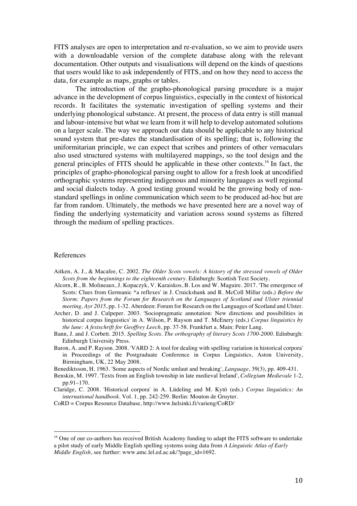FITS analyses are open to interpretation and re-evaluation, so we aim to provide users with a downloadable version of the complete database along with the relevant documentation. Other οutputs and visualisations will depend on the kinds of questions that users would like to ask independently of FITS, and on how they need to access the data, for example as maps, graphs or tables.

The introduction of the grapho-phonological parsing procedure is a major advance in the development of corpus linguistics, especially in the context of historical records. It facilitates the systematic investigation of spelling systems and their underlying phonological substance. At present, the process of data entry is still manual and labour-intensive but what we learn from it will help to develop automated solutions on a larger scale. The way we approach our data should be applicable to any historical sound system that pre-dates the standardisation of its spelling; that is, following the uniformitarian principle, we can expect that scribes and printers of other vernaculars also used structured systems with multilayered mappings, so the tool design and the general principles of FITS should be applicable in these other contexts. <sup>16</sup> In fact, the principles of grapho-phonological parsing ought to allow for a fresh look at uncodified orthographic systems representing indigenous and minority languages as well regional and social dialects today. A good testing ground would be the growing body of nonstandard spellings in online communication which seem to be produced ad-hoc but are far from random. Ultimately, the methods we have presented here are a novel way of finding the underlying systematicity and variation across sound systems as filtered through the medium of spelling practices.

#### References

- Aitken, A. J., & Macafee, C. 2002. *The Older Scots vowels: A history of the stressed vowels of Older Scots from the beginnings to the eighteenth century*. Edinburgh: Scottish Text Society.
- Alcorn, R., B. Molineaux, J. Kopaczyk, V. Karaiskos, B. Los and W. Maguire. 2017. 'The emergence of Scots: Clues from Germanic \*a reflexes' in J. Cruickshank and R. McColl Millar (eds.) *Before the Storm: Papers from the Forum for Research on the Languages of Scotland and Ulster triennial meeting, Ayr 2015*, pp. 1-32. Aberdeen: Forum for Research on the Languages of Scotland and Ulster.
- Archer, D. and J. Culpeper. 2003. 'Sociopragmatic annotation: New directions and possibilities in historical corpus linguistics' in A. Wilson, P. Rayson and T. McEnery (eds.) *Corpus linguistics by the lune: A festschrift for Geoffrey Leech*, pp. 37-58. Frankfurt a. Main: Peter Lang.
- Bann, J. and J. Corbett. 2015. *Spelling Scots. The orthography of literary Scots 1700-2000*. Edinburgh: Edinburgh University Press.
- Baron, A. and P. Rayson. 2008. 'VARD 2: A tool for dealing with spelling variation in historical corpora' in Proceedings of the Postgraduate Conference in Corpus Linguistics, Aston University, Birmingham, UK, 22 May 2008.
- Benediktsson, H. 1963. 'Some aspects of Nordic umlaut and breaking', *Language*, 39(3), pp. 409-431.
- Benskin, M. 1997. 'Texts from an English township in late medieval Ireland', *Collegium Medievale* 1-2, pp.91–170.
- Claridge, C. 2008. 'Historical corpora' in A. Lüdeling and M. Kytö (eds.) *Corpus linguistics: An international handbook*. Vol. 1, pp. 242-259. Berlin: Mouton de Gruyter.
- CoRD = Corpus Resource Database, http://www.helsinki.fi/varieng/CoRD/

<sup>&</sup>lt;sup>16</sup> One of our co-authors has received British Academy funding to adapt the FITS software to undertake a pilot study of early Middle English spelling systems using data from *A Linguistic Atlas of Early Middle English*, see further: www.amc.lel.ed.ac.uk/?page\_id=1692.